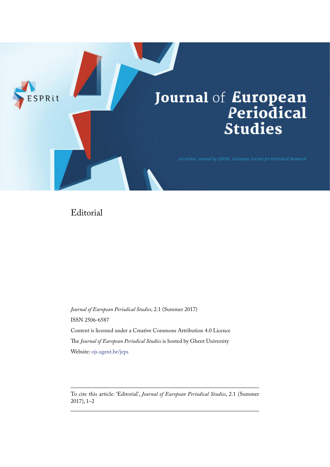

## Editorial

*Journal of European Periodical Studies,* 2.1 (Summer 2017) ISSN 2506-6587 Content is licensed under a Creative Commons Attribution 4.0 Licence The *Journal of European Periodical Studies* is hosted by Ghent University Website: [ojs.ugent.be/jeps](http://ojs.ugent.be/jeps)

To cite this article: 'Editorial', *Journal of European Periodical Studies*, 2.1 (Summer 2017), 1–2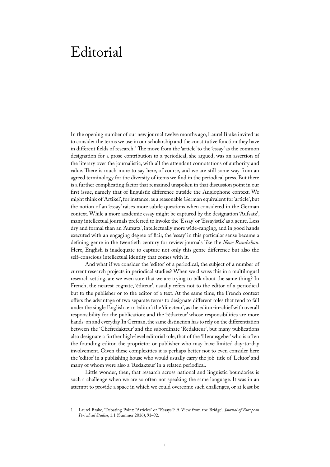## Editorial

In the opening number of our new journal twelve months ago, Laurel Brake invited us to consider the terms we use in our scholarship and the constitutive function they have in different fields of research.<sup>1</sup> The move from the 'article' to the 'essay' as the common designation for a prose contribution to a periodical, she argued, was an assertion of the literary over the journalistic, with all the attendant connotations of authority and value. There is much more to say here, of course, and we are still some way from an agreed terminology for the diversity of items we find in the periodical press. But there is a further complicating factor that remained unspoken in that discussion point in our first issue, namely that of linguistic difference outside the Anglophone context. We might think of 'Artikel', for instance, as a reasonable German equivalent for 'article', but the notion of an 'essay' raises more subtle questions when considered in the German context. While a more academic essay might be captured by the designation 'Aufsatz', many intellectual journals preferred to invoke the 'Essay' or 'Essayistik' as a genre. Less dry and formal than an 'Aufsatz', intellectually more wide-ranging, and in good hands executed with an engaging degree of flair, the 'essay' in this particular sense became a defining genre in the twentieth century for review journals like the *Neue Rundschau*. Here, English is inadequate to capture not only this genre difference but also the self-conscious intellectual identity that comes with it.

And what if we consider the 'editor' of a periodical, the subject of a number of current research projects in periodical studies? When we discuss this in a multilingual research setting, are we even sure that we are trying to talk about the same thing? In French, the nearest cognate, 'éditeur', usually refers not to the editor of a periodical but to the publisher or to the editor of a text. At the same time, the French context offers the advantage of two separate terms to designate different roles that tend to fall under the single English term 'editor': the 'directeur', as the editor-in-chief with overall responsibility for the publication; and the 'rédacteur' whose responsibilities are more hands-on and everyday. In German, the same distinction has to rely on the differentiation between the 'Chefredakteur' and the subordinate 'Redakteur', but many publications also designate a further high-level editorial role, that of the 'Herausgeber' who is often the founding editor, the proprietor or publisher who may have limited day-to-day involvement. Given these complexities it is perhaps better not to even consider here the 'editor' in a publishing house who would usually carry the job-title of 'Lektor' and many of whom were also a 'Redakteur' in a related periodical.

Little wonder, then, that research across national and linguistic boundaries is such a challenge when we are so often not speaking the same language. It was in an attempt to provide a space in which we could overcome such challenges, or at least be

<sup>1</sup> Laurel Brake, 'Debating Point: "Articles" or "Essays"? A View from the Bridge', *Journal of European Periodical Studies*, 1.1 (Summer 2016), 91–92.